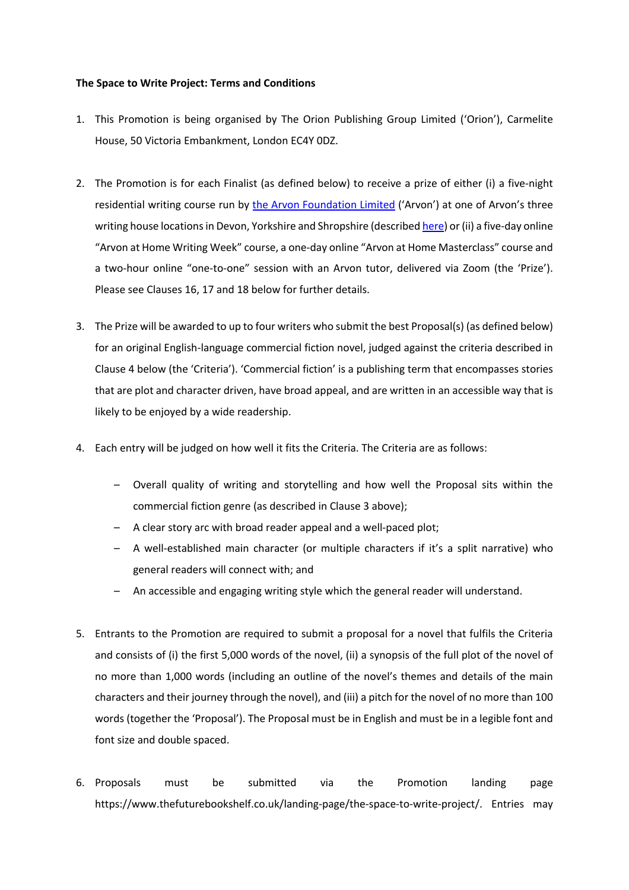## **The Space to Write Project: Terms and Conditions**

- 1. This Promotion is being organised by The Orion Publishing Group Limited ('Orion'), Carmelite House, 50 Victoria Embankment, London EC4Y 0DZ.
- 2. The Promotion is for each Finalist (as defined below) to receive a prize of either (i) a five-night residential writing course run by the Arvon Foundation Limited ('Arvon') at one of Arvon's three writing house locations in Devon, Yorkshire and Shropshire (described here) or (ii) a five-day online "Arvon at Home Writing Week" course, a one-day online "Arvon at Home Masterclass" course and a two-hour online "one-to-one" session with an Arvon tutor, delivered via Zoom (the 'Prize'). Please see Clauses 16, 17 and 18 below for further details.
- 3. The Prize will be awarded to up to four writers who submit the best Proposal(s) (as defined below) for an original English-language commercial fiction novel, judged against the criteria described in Clause 4 below (the 'Criteria'). 'Commercial fiction' is a publishing term that encompasses stories that are plot and character driven, have broad appeal, and are written in an accessible way that is likely to be enjoyed by a wide readership.
- 4. Each entry will be judged on how well it fits the Criteria. The Criteria are as follows:
	- Overall quality of writing and storytelling and how well the Proposal sits within the commercial fiction genre (as described in Clause 3 above);
	- A clear story arc with broad reader appeal and a well-paced plot;
	- A well-established main character (or multiple characters if it's a split narrative) who general readers will connect with; and
	- An accessible and engaging writing style which the general reader will understand.
- 5. Entrants to the Promotion are required to submit a proposal for a novel that fulfils the Criteria and consists of (i) the first 5,000 words of the novel, (ii) a synopsis of the full plot of the novel of no more than 1,000 words (including an outline of the novel's themes and details of the main characters and their journey through the novel), and (iii) a pitch for the novel of no more than 100 words (together the 'Proposal'). The Proposal must be in English and must be in a legible font and font size and double spaced.
- 6. Proposals must be submitted via the Promotion landing page https://www.thefuturebookshelf.co.uk/landing-page/the-space-to-write-project/. Entries may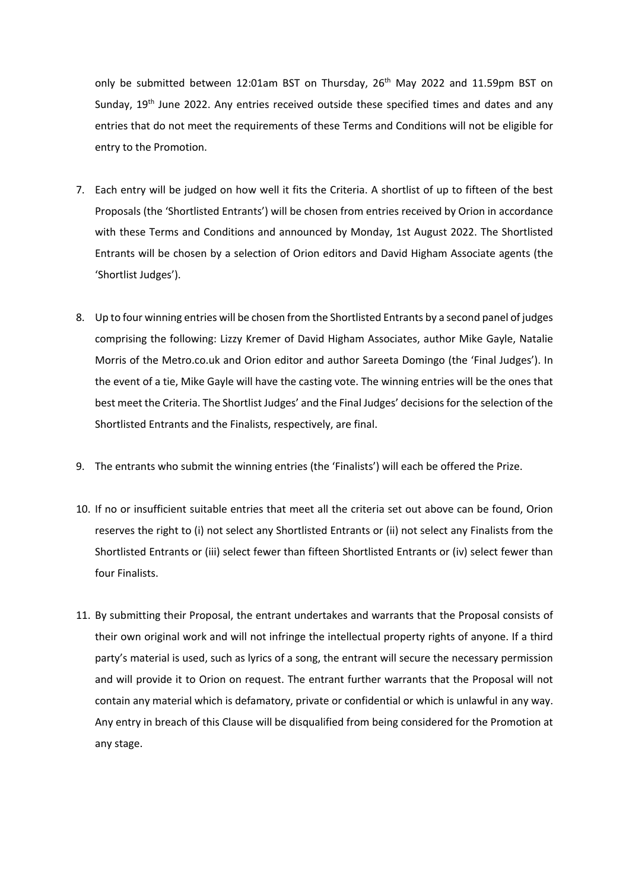only be submitted between 12:01am BST on Thursday, 26<sup>th</sup> May 2022 and 11.59pm BST on Sunday, 19<sup>th</sup> June 2022. Any entries received outside these specified times and dates and any entries that do not meet the requirements of these Terms and Conditions will not be eligible for entry to the Promotion.

- 7. Each entry will be judged on how well it fits the Criteria. A shortlist of up to fifteen of the best Proposals (the 'Shortlisted Entrants') will be chosen from entries received by Orion in accordance with these Terms and Conditions and announced by Monday, 1st August 2022. The Shortlisted Entrants will be chosen by a selection of Orion editors and David Higham Associate agents (the 'Shortlist Judges').
- 8. Up to four winning entries will be chosen from the Shortlisted Entrants by a second panel of judges comprising the following: Lizzy Kremer of David Higham Associates, author Mike Gayle, Natalie Morris of the Metro.co.uk and Orion editor and author Sareeta Domingo (the 'Final Judges'). In the event of a tie, Mike Gayle will have the casting vote. The winning entries will be the ones that best meet the Criteria. The Shortlist Judges' and the Final Judges' decisions for the selection of the Shortlisted Entrants and the Finalists, respectively, are final.
- 9. The entrants who submit the winning entries (the 'Finalists') will each be offered the Prize.
- 10. If no or insufficient suitable entries that meet all the criteria set out above can be found, Orion reserves the right to (i) not select any Shortlisted Entrants or (ii) not select any Finalists from the Shortlisted Entrants or (iii) select fewer than fifteen Shortlisted Entrants or (iv) select fewer than four Finalists.
- 11. By submitting their Proposal, the entrant undertakes and warrants that the Proposal consists of their own original work and will not infringe the intellectual property rights of anyone. If a third party's material is used, such as lyrics of a song, the entrant will secure the necessary permission and will provide it to Orion on request. The entrant further warrants that the Proposal will not contain any material which is defamatory, private or confidential or which is unlawful in any way. Any entry in breach of this Clause will be disqualified from being considered for the Promotion at any stage.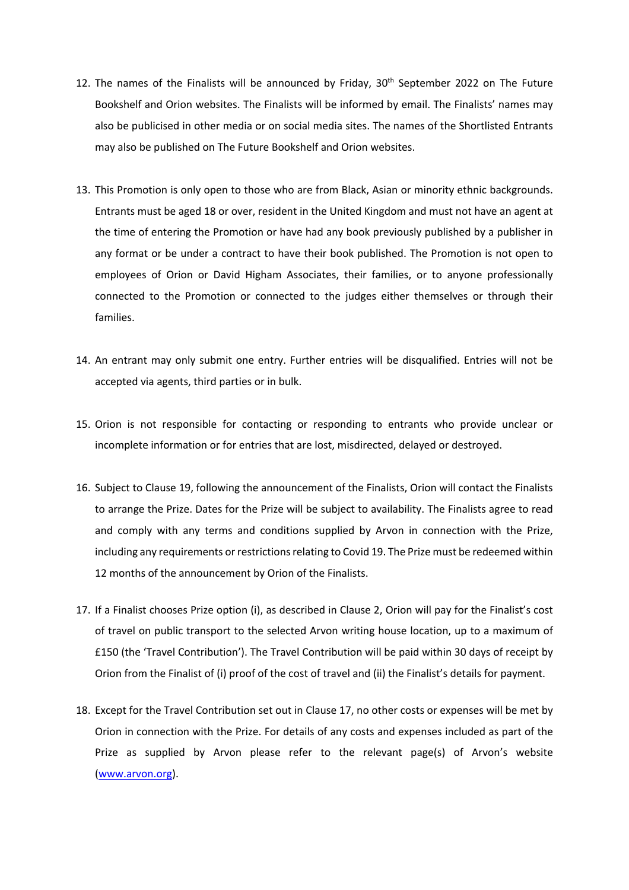- 12. The names of the Finalists will be announced by Friday,  $30<sup>th</sup>$  September 2022 on The Future Bookshelf and Orion websites. The Finalists will be informed by email. The Finalists' names may also be publicised in other media or on social media sites. The names of the Shortlisted Entrants may also be published on The Future Bookshelf and Orion websites.
- 13. This Promotion is only open to those who are from Black, Asian or minority ethnic backgrounds. Entrants must be aged 18 or over, resident in the United Kingdom and must not have an agent at the time of entering the Promotion or have had any book previously published by a publisher in any format or be under a contract to have their book published. The Promotion is not open to employees of Orion or David Higham Associates, their families, or to anyone professionally connected to the Promotion or connected to the judges either themselves or through their families.
- 14. An entrant may only submit one entry. Further entries will be disqualified. Entries will not be accepted via agents, third parties or in bulk.
- 15. Orion is not responsible for contacting or responding to entrants who provide unclear or incomplete information or for entries that are lost, misdirected, delayed or destroyed.
- 16. Subject to Clause 19, following the announcement of the Finalists, Orion will contact the Finalists to arrange the Prize. Dates for the Prize will be subject to availability. The Finalists agree to read and comply with any terms and conditions supplied by Arvon in connection with the Prize, including any requirements or restrictions relating to Covid 19. The Prize must be redeemed within 12 months of the announcement by Orion of the Finalists.
- 17. If a Finalist chooses Prize option (i), as described in Clause 2, Orion will pay for the Finalist's cost of travel on public transport to the selected Arvon writing house location, up to a maximum of £150 (the 'Travel Contribution'). The Travel Contribution will be paid within 30 days of receipt by Orion from the Finalist of (i) proof of the cost of travel and (ii) the Finalist's details for payment.
- 18. Except for the Travel Contribution set out in Clause 17, no other costs or expenses will be met by Orion in connection with the Prize. For details of any costs and expenses included as part of the Prize as supplied by Arvon please refer to the relevant page(s) of Arvon's website (www.arvon.org).